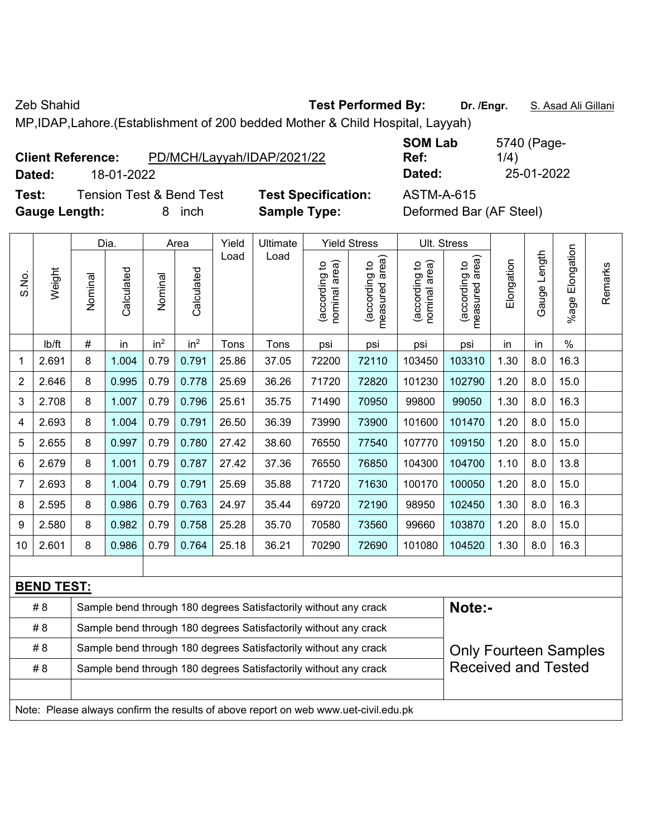MP,IDAP,Lahore.(Establishment of 200 bedded Mother & Child Hospital, Layyah)

#8 | Sample bend through 180 degrees Satisfactorily without any crack

#8 | Sample bend through 180 degrees Satisfactorily without any crack #8 | Sample bend through 180 degrees Satisfactorily without any crack

Note: Please always confirm the results of above report on web www.uet-civil.edu.pk

**Test:** Tension Test & Bend Test **Test Specification:** ASTM-A-615 **Gauge Length:** 8 inch **Sample Type:** Deformed Bar (AF Steel)

**SOM Lab Ref:**  5740 (Page-1/4) **Dated:** 18-01-2022 **Dated:** 25-01-2022

> Only Fourteen Samples Received and Tested

|                                                                                  |                   |         | Dia.       |                 | Area            | Yield | Ultimate |                                | <b>Yield Stress</b>                | Ult. Stress                    |                                   |            |                 |                       |         |
|----------------------------------------------------------------------------------|-------------------|---------|------------|-----------------|-----------------|-------|----------|--------------------------------|------------------------------------|--------------------------------|-----------------------------------|------------|-----------------|-----------------------|---------|
| S.No.                                                                            | Weight            | Nominal | Calculated | Nominal         | Calculated      | Load  | Load     | nominal area)<br>(according to | area)<br>(according to<br>measured | nominal area)<br>(according to | area)<br>according to<br>measured | Elongation | Length<br>Gauge | Elongation<br>$%$ age | Remarks |
|                                                                                  | lb/ft             | $\#$    | in         | in <sup>2</sup> | in <sup>2</sup> | Tons  | Tons     | psi                            | psi                                | psi                            | psi                               | in         | in              | $\%$                  |         |
| $\mathbf 1$                                                                      | 2.691             | 8       | 1.004      | 0.79            | 0.791           | 25.86 | 37.05    | 72200                          | 72110                              | 103450                         | 103310                            | 1.30       | 8.0             | 16.3                  |         |
| $\sqrt{2}$                                                                       | 2.646             | 8       | 0.995      | 0.79            | 0.778           | 25.69 | 36.26    | 71720                          | 72820                              | 101230                         | 102790                            | 1.20       | 8.0             | 15.0                  |         |
| $\sqrt{3}$                                                                       | 2.708             | 8       | 1.007      | 0.79            | 0.796           | 25.61 | 35.75    | 71490                          | 70950                              | 99800                          | 99050                             | 1.30       | 8.0             | 16.3                  |         |
| 4                                                                                | 2.693             | 8       | 1.004      | 0.79            | 0.791           | 26.50 | 36.39    | 73990                          | 73900                              | 101600                         | 101470                            | 1.20       | 8.0             | 15.0                  |         |
| 5                                                                                | 2.655             | 8       | 0.997      | 0.79            | 0.780           | 27.42 | 38.60    | 76550                          | 77540                              | 107770                         | 109150                            | 1.20       | 8.0             | 15.0                  |         |
| 6                                                                                | 2.679             | 8       | 1.001      | 0.79            | 0.787           | 27.42 | 37.36    | 76550                          | 76850                              | 104300                         | 104700                            | 1.10       | 8.0             | 13.8                  |         |
| $\overline{7}$                                                                   | 2.693             | 8       | 1.004      | 0.79            | 0.791           | 25.69 | 35.88    | 71720                          | 71630                              | 100170                         | 100050                            | 1.20       | 8.0             | 15.0                  |         |
| 8                                                                                | 2.595             | 8       | 0.986      | 0.79            | 0.763           | 24.97 | 35.44    | 69720                          | 72190                              | 98950                          | 102450                            | 1.30       | 8.0             | 16.3                  |         |
| 9                                                                                | 2.580             | 8       | 0.982      | 0.79            | 0.758           | 25.28 | 35.70    | 70580                          | 73560                              | 99660                          | 103870                            | 1.20       | 8.0             | 15.0                  |         |
| 10 <sup>°</sup>                                                                  | 2.601             | $\bf 8$ | 0.986      | 0.79            | 0.764           | 25.18 | 36.21    | 70290                          | 72690                              | 101080                         | 104520                            | 1.30       | 8.0             | 16.3                  |         |
|                                                                                  |                   |         |            |                 |                 |       |          |                                |                                    |                                |                                   |            |                 |                       |         |
|                                                                                  | <u>BEND TEST:</u> |         |            |                 |                 |       |          |                                |                                    |                                |                                   |            |                 |                       |         |
| Note:-<br>#8<br>Sample bend through 180 degrees Satisfactorily without any crack |                   |         |            |                 |                 |       |          |                                |                                    |                                |                                   |            |                 |                       |         |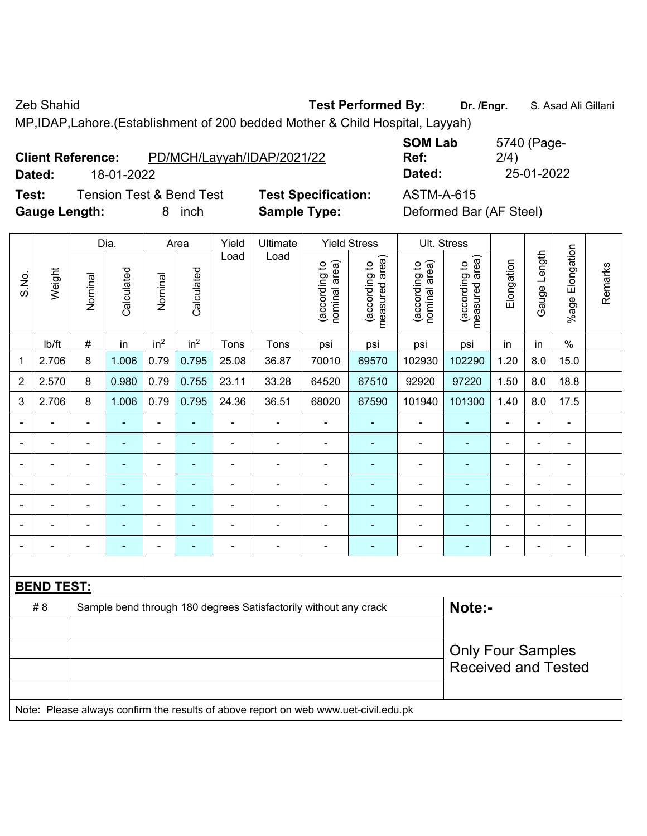MP,IDAP,Lahore.(Establishment of 200 bedded Mother & Child Hospital, Layyah)

| <b>Client Reference:</b> | PD/MCH/Layyah/IDAP/2021/22 |
|--------------------------|----------------------------|
|                          |                            |

**SOM Lab Ref:**  5740 (Page-2/4) **Dated:** 18-01-2022 **Dated:** 25-01-2022

**Test:** Tension Test & Bend Test **Test Specification:** ASTM-A-615 **Gauge Length:** 8 inch **Sample Type:** Deformed Bar (AF Steel)

|                |                   |                          | Dia.           |                              | Area                     | Yield | Ultimate                                                                            |                                | <b>Yield Stress</b>             |                                | Ult. Stress                     |                |                          |                       |         |
|----------------|-------------------|--------------------------|----------------|------------------------------|--------------------------|-------|-------------------------------------------------------------------------------------|--------------------------------|---------------------------------|--------------------------------|---------------------------------|----------------|--------------------------|-----------------------|---------|
| S.No.          | Weight            | Nominal                  | Calculated     | Nominal                      | Calculated               | Load  | Load                                                                                | nominal area)<br>(according to | (according to<br>measured area) | nominal area)<br>(according to | (according to<br>measured area) | Elongation     | Gauge Length             | Elongation<br>$%$ age | Remarks |
|                | Ib/ft             | $\#$                     | in             | in <sup>2</sup>              | in <sup>2</sup>          | Tons  | Tons                                                                                | psi                            | psi                             | psi                            | psi                             | in             | in                       | $\%$                  |         |
| 1              | 2.706             | 8                        | 1.006          | 0.79                         | 0.795                    | 25.08 | 36.87                                                                               | 70010                          | 69570                           | 102930                         | 102290                          | 1.20           | 8.0                      | 15.0                  |         |
| $\overline{2}$ | 2.570             | 8                        | 0.980          | 0.79                         | 0.755                    | 23.11 | 33.28                                                                               | 64520                          | 67510                           | 92920                          | 97220                           | 1.50           | 8.0                      | 18.8                  |         |
| 3              | 2.706             | 8                        | 1.006          | 0.79                         | 0.795                    | 24.36 | 36.51                                                                               | 68020                          | 67590                           | 101940                         | 101300                          | 1.40           | 8.0                      | 17.5                  |         |
|                |                   | $\overline{\phantom{a}}$ | $\blacksquare$ | $\blacksquare$               | $\blacksquare$           | ÷     | ÷                                                                                   | $\overline{\phantom{a}}$       | $\blacksquare$                  | $\blacksquare$                 | ÷                               | $\blacksquare$ | ÷,                       | $\frac{1}{2}$         |         |
|                | $\blacksquare$    | $\blacksquare$           | ä,             | ÷,                           | ÷,                       | ä,    | $\blacksquare$                                                                      | $\blacksquare$                 | $\blacksquare$                  | $\blacksquare$                 | ÷                               | $\blacksquare$ | ä,                       | $\blacksquare$        |         |
|                | $\blacksquare$    | $\blacksquare$           | $\blacksquare$ | $\qquad \qquad \blacksquare$ | $\blacksquare$           | ä,    | ä,                                                                                  | $\blacksquare$                 | $\blacksquare$                  | $\blacksquare$                 | $\blacksquare$                  | ä,             | $\blacksquare$           | $\blacksquare$        |         |
|                |                   |                          |                |                              |                          |       |                                                                                     | $\blacksquare$                 | $\blacksquare$                  | $\blacksquare$                 | $\blacksquare$                  |                |                          | $\blacksquare$        |         |
|                |                   | $\blacksquare$           |                | $\blacksquare$               |                          |       |                                                                                     | $\overline{\phantom{0}}$       |                                 | $\blacksquare$                 |                                 |                | $\overline{\phantom{0}}$ | $\blacksquare$        |         |
|                |                   |                          |                | $\blacksquare$               |                          |       |                                                                                     |                                | ۰                               |                                | $\blacksquare$                  | ä,             | $\blacksquare$           | $\blacksquare$        |         |
|                |                   | $\blacksquare$           | ÷              | $\blacksquare$               | ٠                        |       | ÷                                                                                   | $\overline{\phantom{a}}$       | $\blacksquare$                  | $\blacksquare$                 | $\blacksquare$                  | $\blacksquare$ | $\blacksquare$           | $\frac{1}{2}$         |         |
|                |                   |                          |                |                              |                          |       |                                                                                     |                                |                                 |                                |                                 |                |                          |                       |         |
|                | <b>BEND TEST:</b> |                          |                |                              |                          |       |                                                                                     |                                |                                 |                                |                                 |                |                          |                       |         |
|                | #8                |                          |                |                              |                          |       | Sample bend through 180 degrees Satisfactorily without any crack                    |                                |                                 |                                | Note:-                          |                |                          |                       |         |
|                |                   |                          |                |                              |                          |       |                                                                                     |                                |                                 |                                |                                 |                |                          |                       |         |
|                |                   |                          |                |                              | <b>Only Four Samples</b> |       |                                                                                     |                                |                                 |                                |                                 |                |                          |                       |         |
|                |                   |                          |                |                              |                          |       |                                                                                     |                                |                                 |                                | <b>Received and Tested</b>      |                |                          |                       |         |
|                |                   |                          |                |                              |                          |       |                                                                                     |                                |                                 |                                |                                 |                |                          |                       |         |
|                |                   |                          |                |                              |                          |       | Note: Please always confirm the results of above report on web www.uet-civil.edu.pk |                                |                                 |                                |                                 |                |                          |                       |         |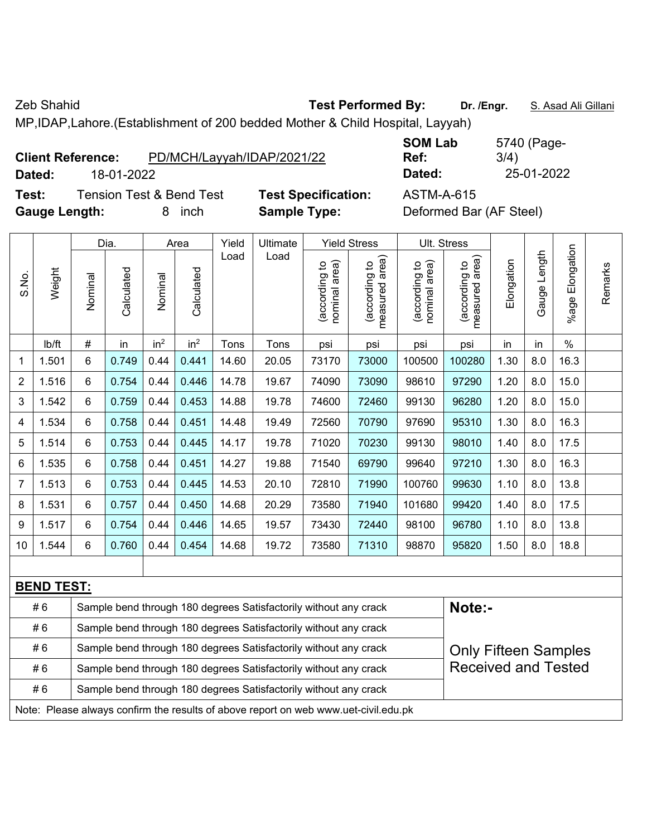MP,IDAP,Lahore.(Establishment of 200 bedded Mother & Child Hospital, Layyah)

| <b>Client Reference:</b> | PD/MCH/Layyah/IDAP/2021/22 |
|--------------------------|----------------------------|
|--------------------------|----------------------------|

**Test:** Tension Test & Bend Test **Test Specification:** ASTM-A-615 **Gauge Length:** 8 inch **Sample Type:** Deformed Bar (AF Steel)

**SOM Lab Ref:**  5740 (Page-3/4) **Dated:** 18-01-2022 **Dated:** 25-01-2022

| #6                       |         |                    | Sample bend through 180 degrees Satisfactorily without any crack |                    |               |                  |                                  |                                                        |                                               | Note:-                          |            |                 |                       |         |
|--------------------------|---------|--------------------|------------------------------------------------------------------|--------------------|---------------|------------------|----------------------------------|--------------------------------------------------------|-----------------------------------------------|---------------------------------|------------|-----------------|-----------------------|---------|
| <b>BEND TEST:</b>        |         |                    |                                                                  |                    |               |                  |                                  |                                                        |                                               |                                 |            |                 |                       |         |
|                          |         |                    |                                                                  |                    |               |                  |                                  |                                                        |                                               |                                 |            |                 |                       |         |
| 1.544<br>10              | 6       | 0.760              | 0.44                                                             | 0.454              | 14.68         | 19.72            | 73580                            | 71310                                                  | 98870                                         | 95820                           | 1.50       | 8.0             | 18.8                  |         |
| 9<br>1.517               | 6       | 0.754              | 0.44                                                             | 0.446              | 14.65         | 19.57            | 73430                            | 72440                                                  | 98100                                         | 96780                           | 1.10       | 8.0             | 13.8                  |         |
| 1.531<br>8               | 6       | 0.757              | 0.44                                                             | 0.450              | 14.68         | 20.29            | 73580                            | 71940                                                  | 101680                                        | 99420                           | 1.40       | 8.0             | 17.5                  |         |
| 7<br>1.513               | 6       | 0.753              | 0.44                                                             | 0.445              | 14.53         | 20.10            | 72810                            | 71990                                                  | 100760                                        | 99630                           | 1.10       | 8.0             | 13.8                  |         |
| 1.535<br>$6\phantom{1}6$ | 6       | 0.758              | 0.44                                                             | 0.451              | 14.27         | 19.88            | 71540                            | 69790                                                  | 99640                                         | 97210                           | 1.30       | 8.0             | 16.3                  |         |
| 5<br>1.514               | 6       | 0.753              | 0.44                                                             | 0.445              | 14.17         | 19.78            | 71020                            | 70230                                                  | 99130                                         | 98010                           | 1.40       | 8.0             | 17.5                  |         |
| 1.534<br>4               | 6       | 0.758              | 0.44                                                             | 0.451              | 14.48         | 19.49            | 72560                            | 70790                                                  | 97690                                         | 95310                           | 1.30       | 8.0             | 16.3                  |         |
| 3<br>1.542               | 6       | 0.759              | 0.44                                                             | 0.453              | 14.88         | 19.78            | 74600                            | 72460                                                  | 99130                                         | 96280                           | 1.20       | 8.0             | 15.0                  |         |
| $\overline{2}$<br>1.516  | 6       | 0.754              | 0.44                                                             | 0.446              | 14.78         | 19.67            | 74090                            | 73090                                                  | 98610                                         | 97290                           | 1.20       | 8.0             | 15.0                  |         |
| 1<br>1.501               | 6       | 0.749              | 0.44                                                             | 0.441              | 14.60         | 20.05            | 73170                            | 73000                                                  | 100500                                        | 100280                          | 1.30       | 8.0             | 16.3                  |         |
| lb/ft                    | $\#$    | in                 | in <sup>2</sup>                                                  | in <sup>2</sup>    | Tons          | Tons             | psi                              | psi                                                    | psi                                           | psi                             | in         | in              | $\%$                  |         |
| Weight<br>S.No.          | Nominal | Dia.<br>Calculated | Nominal                                                          | Area<br>Calculated | Yield<br>Load | Ultimate<br>Load | nominal area)<br>ą<br>(according | <b>Yield Stress</b><br>measured area)<br>(according to | Ult. Stress<br>nominal area)<br>(according to | measured area)<br>(according to | Elongation | Length<br>Gauge | Elongation<br>$%$ age | Remarks |
|                          |         |                    |                                                                  |                    |               |                  |                                  |                                                        |                                               |                                 |            |                 |                       |         |

|                                                                                     | #O | Sample beng infough 180 degrees Salislactorily without any crack | NOLE:-                      |  |  |  |  |  |  |  |  |
|-------------------------------------------------------------------------------------|----|------------------------------------------------------------------|-----------------------------|--|--|--|--|--|--|--|--|
|                                                                                     | #6 | Sample bend through 180 degrees Satisfactorily without any crack |                             |  |  |  |  |  |  |  |  |
|                                                                                     | #6 | Sample bend through 180 degrees Satisfactorily without any crack | <b>Only Fifteen Samples</b> |  |  |  |  |  |  |  |  |
|                                                                                     | #6 | Sample bend through 180 degrees Satisfactorily without any crack | <b>Received and Tested</b>  |  |  |  |  |  |  |  |  |
| Sample bend through 180 degrees Satisfactorily without any crack<br># 6             |    |                                                                  |                             |  |  |  |  |  |  |  |  |
| Note: Please always confirm the results of above report on web www.uet-civil.edu.pk |    |                                                                  |                             |  |  |  |  |  |  |  |  |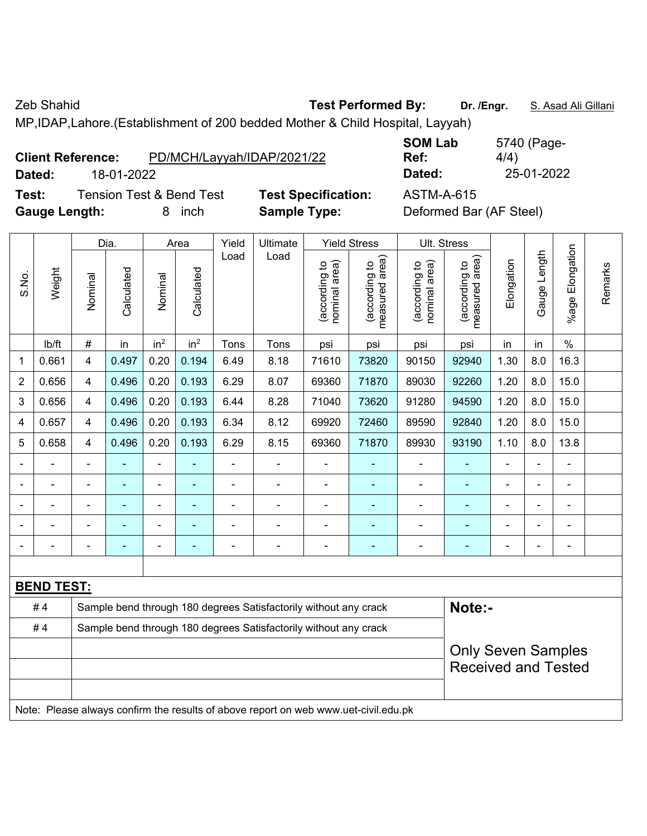MP,IDAP,Lahore.(Establishment of 200 bedded Mother & Child Hospital, Layyah)

| <b>Client Reference:</b> | PD/MCH/Layyah/IDAP/2021/22 |
|--------------------------|----------------------------|
|                          |                            |

**SOM Lab Ref:**  5740 (Page-4/4) **Dated:** 18-01-2022 **Dated:** 25-01-2022

**Test:** Tension Test & Bend Test **Test Specification:** ASTM-A-615

**Gauge Length:** 8 inch **Sample Type:** Deformed Bar (AF Steel)

|                          |                   |                | Dia.           |                 | Area                                                             | Yield          | Ultimate                                                         |                                | <b>Yield Stress</b>             | Ult. Stress                    |                                 |                           |                |                    |         |
|--------------------------|-------------------|----------------|----------------|-----------------|------------------------------------------------------------------|----------------|------------------------------------------------------------------|--------------------------------|---------------------------------|--------------------------------|---------------------------------|---------------------------|----------------|--------------------|---------|
| S.No.                    | Weight            | Nominal        | Calculated     | Nominal         | Calculated                                                       | Load           | Load                                                             | nominal area)<br>(according to | measured area)<br>(according to | nominal area)<br>(according to | measured area)<br>(according to | Elongation                | Gauge Length   | Elongation<br>%age | Remarks |
|                          | lb/ft             | $\#$           | in             | in <sup>2</sup> | in <sup>2</sup>                                                  | Tons           | Tons                                                             | psi                            | psi                             | psi                            | psi                             | in                        | in             | $\%$               |         |
| 1                        | 0.661             | 4              | 0.497          | 0.20            | 0.194                                                            | 6.49           | 8.18                                                             | 71610                          | 73820                           | 90150                          | 92940                           | 1.30                      | 8.0            | 16.3               |         |
| $\mathbf 2$              | 0.656             | 4              | 0.496          | 0.20            | 0.193                                                            | 6.29           | 8.07                                                             | 69360                          | 71870                           | 89030                          | 92260                           | 1.20                      | 8.0            | 15.0               |         |
| 3                        | 0.656             | $\overline{4}$ | 0.496          | 0.20            | 0.193                                                            | 6.44           | 8.28                                                             | 71040                          | 73620                           | 91280                          | 94590                           | 1.20                      | 8.0            | 15.0               |         |
| 4                        | 0.657             | 4              | 0.496          | 0.20            | 0.193                                                            | 6.34           | 8.12                                                             | 69920                          | 72460                           | 89590                          | 92840                           | 1.20                      | 8.0            | 15.0               |         |
| 5                        | 0.658             | 4              | 0.496          | 0.20            | 0.193                                                            | 6.29           | 8.15                                                             | 69360                          | 71870                           | 89930                          | 93190                           | 1.10                      | 8.0            | 13.8               |         |
| $\blacksquare$           |                   | $\blacksquare$ |                |                 | ٠                                                                | $\blacksquare$ | $\blacksquare$                                                   | $\overline{a}$                 |                                 | $\blacksquare$                 | $\blacksquare$                  |                           |                | $\blacksquare$     |         |
| $\overline{\phantom{a}}$ | $\blacksquare$    | $\blacksquare$ | $\blacksquare$ | $\blacksquare$  | ۰                                                                | $\blacksquare$ | $\blacksquare$                                                   | $\blacksquare$                 | ٠                               | $\overline{\phantom{0}}$       | $\overline{a}$                  | $\blacksquare$            | $\blacksquare$ | $\blacksquare$     |         |
|                          |                   |                |                | ä,              | ۰                                                                |                | ÷                                                                | $\blacksquare$                 | ۰                               | ÷                              |                                 |                           |                | ä,                 |         |
|                          |                   |                |                |                 |                                                                  |                |                                                                  |                                |                                 |                                |                                 |                           |                | $\blacksquare$     |         |
| $\overline{\phantom{a}}$ | ÷                 | Ē,             |                | ä,              | ٠                                                                | $\blacksquare$ | ÷                                                                | $\blacksquare$                 | ۰                               | $\blacksquare$                 | $\blacksquare$                  | $\overline{\phantom{0}}$  | ÷              | $\overline{a}$     |         |
|                          |                   |                |                |                 |                                                                  |                |                                                                  |                                |                                 |                                |                                 |                           |                |                    |         |
|                          | <u>BEND TEST:</u> |                |                |                 |                                                                  |                |                                                                  |                                |                                 |                                |                                 |                           |                |                    |         |
|                          | #4                |                |                |                 |                                                                  |                | Sample bend through 180 degrees Satisfactorily without any crack |                                |                                 |                                | Note:-                          |                           |                |                    |         |
|                          | #4                |                |                |                 | Sample bend through 180 degrees Satisfactorily without any crack |                |                                                                  |                                |                                 |                                |                                 |                           |                |                    |         |
|                          |                   |                |                |                 |                                                                  |                |                                                                  |                                |                                 |                                |                                 | <b>Only Seven Samples</b> |                |                    |         |
|                          |                   |                |                |                 |                                                                  |                |                                                                  |                                |                                 |                                | <b>Received and Tested</b>      |                           |                |                    |         |
|                          |                   |                |                |                 |                                                                  |                |                                                                  |                                |                                 |                                |                                 |                           |                |                    |         |

Note: Please always confirm the results of above report on web www.uet-civil.edu.pk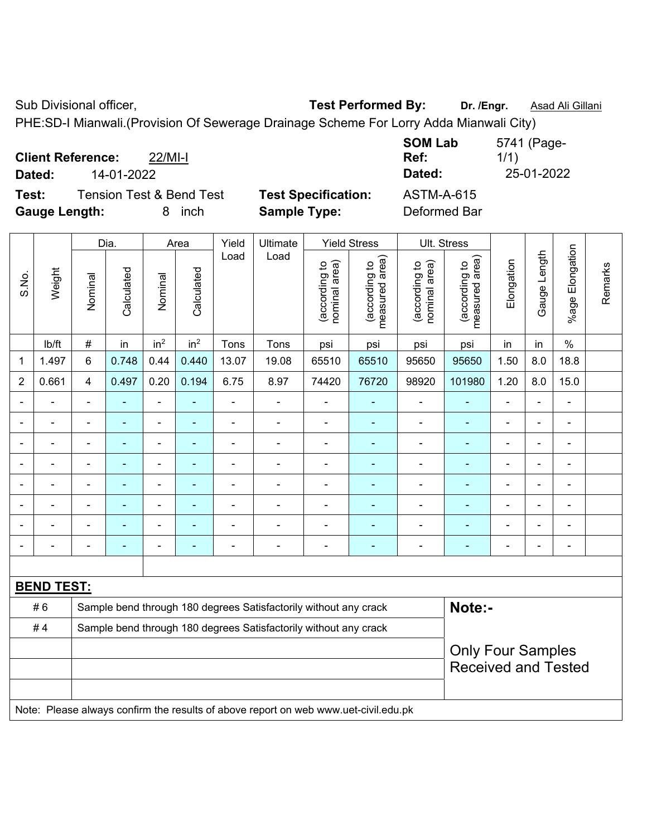Sub Divisional officer, **Test Performed By:** Dr. /Engr. **Asad Ali Gillani** Associated By: Dr. /Engr. **Asad Ali Gillani** 

PHE:SD-I Mianwali.(Provision Of Sewerage Drainage Scheme For Lorry Adda Mianwali City)

| <b>Client Reference:</b><br>$22$ /MI-I       |                            | <b>SOM Lab</b><br>Ref: | 5741 (Page-<br>1/1) |
|----------------------------------------------|----------------------------|------------------------|---------------------|
| Dated:<br>14-01-2022                         |                            | Dated:                 | 25-01-2022          |
| Test:<br><b>Tension Test &amp; Bend Test</b> | <b>Test Specification:</b> | <b>ASTM-A-615</b>      |                     |
| <b>Gauge Length:</b><br>inch<br>8.           | <b>Sample Type:</b>        | Deformed Bar           |                     |

|                          |                   |                | Dia.                                                                                       |                          | Area                     | Yield          | Ultimate                                                                            |                                | <b>Yield Stress</b>             |                                | Ult. Stress                     |                |                |                         |         |
|--------------------------|-------------------|----------------|--------------------------------------------------------------------------------------------|--------------------------|--------------------------|----------------|-------------------------------------------------------------------------------------|--------------------------------|---------------------------------|--------------------------------|---------------------------------|----------------|----------------|-------------------------|---------|
| S.No.                    | Weight            | Nominal        | Calculated                                                                                 | Nominal                  | Calculated               | Load           | Load                                                                                | nominal area)<br>(according to | (according to<br>measured area) | nominal area)<br>(according to | measured area)<br>(according to | Elongation     | Gauge Length   | Elongation<br>$%$ age l | Remarks |
|                          | lb/ft             | $\#$           | in                                                                                         | in <sup>2</sup>          | in <sup>2</sup>          | Tons           | Tons                                                                                | psi                            | psi                             | psi                            | psi                             | in             | in             | $\%$                    |         |
| 1                        | 1.497             | 6              | 0.748<br>0.440<br>1.50<br>0.44<br>13.07<br>19.08<br>65510<br>65510<br>95650<br>95650       |                          |                          |                |                                                                                     |                                |                                 |                                |                                 |                | 8.0            | 18.8                    |         |
| $\overline{2}$           | 0.661             | 4              | 0.497<br>0.20<br>0.194<br>6.75<br>1.20<br>8.0<br>8.97<br>74420<br>76720<br>98920<br>101980 |                          |                          |                |                                                                                     |                                |                                 |                                |                                 |                |                | 15.0                    |         |
| $\overline{\phantom{0}}$ |                   |                | $\blacksquare$                                                                             | $\blacksquare$           | $\overline{\phantom{a}}$ | $\blacksquare$ | $\blacksquare$                                                                      | $\overline{\phantom{0}}$       | $\overline{a}$                  | -                              | $\overline{\phantom{0}}$        | $\blacksquare$ | ÷,             | $\blacksquare$          |         |
| $\blacksquare$           | Ē,                | $\blacksquare$ | $\blacksquare$                                                                             | ÷,                       | $\blacksquare$           | $\blacksquare$ | $\blacksquare$                                                                      | $\blacksquare$                 | $\blacksquare$                  | $\overline{\phantom{a}}$       | ÷,                              | $\blacksquare$ | ä,             | $\blacksquare$          |         |
|                          | ÷,                | $\blacksquare$ | ÷                                                                                          | $\overline{\phantom{a}}$ | $\overline{\phantom{a}}$ | $\blacksquare$ | $\overline{\phantom{a}}$                                                            | $\overline{\phantom{a}}$       | $\blacksquare$                  | $\overline{\phantom{a}}$       | $\blacksquare$                  | $\overline{a}$ | ÷              | $\blacksquare$          |         |
|                          | Ē,                | $\blacksquare$ | ä,                                                                                         | $\blacksquare$           | $\overline{\phantom{a}}$ | $\blacksquare$ | $\blacksquare$                                                                      | $\blacksquare$                 | ٠                               | $\blacksquare$                 | ۰                               | $\blacksquare$ | ä,             | $\blacksquare$          |         |
|                          | $\blacksquare$    | $\blacksquare$ | ÷,                                                                                         | $\blacksquare$           | $\blacksquare$           | $\blacksquare$ | $\blacksquare$                                                                      | $\overline{\phantom{a}}$       | ÷                               | $\overline{\phantom{a}}$       | $\blacksquare$                  | $\blacksquare$ | ä,             | $\blacksquare$          |         |
|                          |                   |                | ä,                                                                                         | ä,                       |                          |                |                                                                                     | $\blacksquare$                 | ä,                              | ä,                             |                                 |                | ÷              | ä,                      |         |
|                          |                   |                |                                                                                            | $\blacksquare$           |                          |                |                                                                                     |                                |                                 | $\blacksquare$                 |                                 |                | L,             | ÷                       |         |
| $\overline{\phantom{0}}$ | $\blacksquare$    |                | ٠                                                                                          | $\blacksquare$           | $\overline{\phantom{a}}$ | $\blacksquare$ | $\overline{\phantom{0}}$                                                            | $\blacksquare$                 | ÷                               | ۰                              | ۰                               | $\blacksquare$ | $\blacksquare$ | $\blacksquare$          |         |
|                          |                   |                |                                                                                            |                          |                          |                |                                                                                     |                                |                                 |                                |                                 |                |                |                         |         |
|                          | <b>BEND TEST:</b> |                |                                                                                            |                          |                          |                |                                                                                     |                                |                                 |                                |                                 |                |                |                         |         |
|                          | #6                |                |                                                                                            |                          |                          |                | Sample bend through 180 degrees Satisfactorily without any crack                    |                                |                                 |                                | Note:-                          |                |                |                         |         |
|                          | #4                |                |                                                                                            |                          |                          |                | Sample bend through 180 degrees Satisfactorily without any crack                    |                                |                                 |                                |                                 |                |                |                         |         |
|                          |                   |                |                                                                                            |                          |                          |                | <b>Only Four Samples</b>                                                            |                                |                                 |                                |                                 |                |                |                         |         |
|                          |                   |                |                                                                                            |                          |                          |                |                                                                                     |                                |                                 |                                | <b>Received and Tested</b>      |                |                |                         |         |
|                          |                   |                |                                                                                            |                          |                          |                |                                                                                     |                                |                                 |                                |                                 |                |                |                         |         |
|                          |                   |                |                                                                                            |                          |                          |                | Note: Please always confirm the results of above report on web www.uet-civil.edu.pk |                                |                                 |                                |                                 |                |                |                         |         |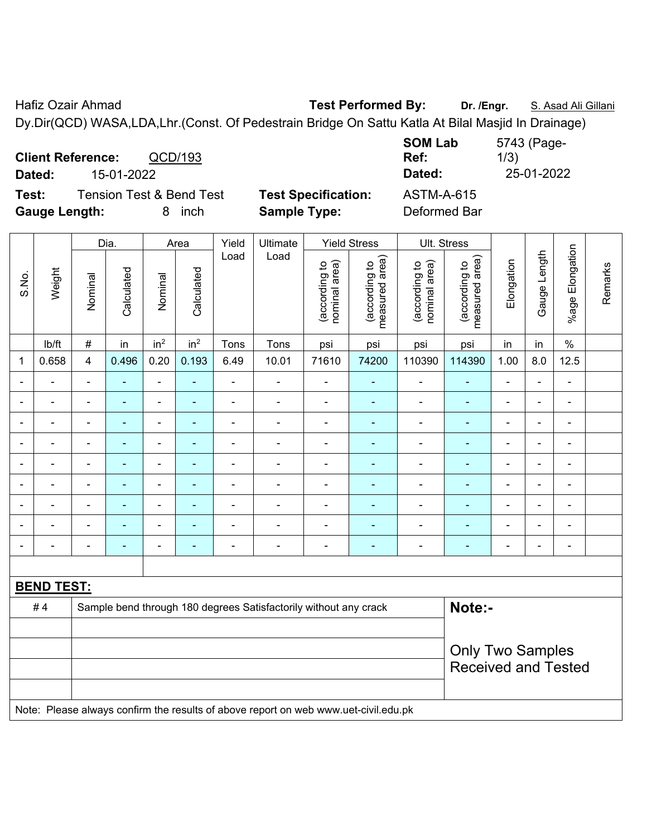Hafiz Ozair Ahmad **Test Performed By:** Dr. /Engr. **S. Asad Ali Gillani** Dy.Dir(QCD) WASA,LDA,Lhr.(Const. Of Pedestrain Bridge On Sattu Katla At Bilal Masjid In Drainage)

**Client Reference:** QCD/193 **SOM Lab Ref:**  5743 (Page-1/3) **Dated:** 15-01-2022 **Dated:** 25-01-2022 **Test:** Tension Test & Bend Test **Test Specification:** ASTM-A-615 **Gauge Length:** 8 inch **Sample Type:** Deformed Bar

|                |                   |                          | Dia.           |                          | Area            | Yield          | Ultimate                                                                            |                                | <b>Yield Stress</b>             |                                | Ult. Stress                     |                          |                |                         |         |
|----------------|-------------------|--------------------------|----------------|--------------------------|-----------------|----------------|-------------------------------------------------------------------------------------|--------------------------------|---------------------------------|--------------------------------|---------------------------------|--------------------------|----------------|-------------------------|---------|
| S.No.          | Weight            | Nominal                  | Calculated     | Nominal                  | Calculated      | Load           | Load                                                                                | nominal area)<br>(according to | (according to<br>measured area) | nominal area)<br>(according to | (according to<br>measured area) | Elongation               | Gauge Length   | Elongation<br>$%$ age I | Remarks |
|                | lb/ft             | $\#$                     | in             | in <sup>2</sup>          | in <sup>2</sup> | Tons           | Tons                                                                                | psi                            | psi                             | psi                            | psi                             | in                       | in             | $\%$                    |         |
| 1              | 0.658             | $\overline{\mathbf{4}}$  | 0.496          | 0.20                     | 0.193           | 6.49           | 10.01                                                                               | 71610                          | 74200                           | 110390                         | 114390                          | 1.00                     | 8.0            | 12.5                    |         |
|                |                   | $\blacksquare$           |                | ä,                       |                 | ÷              |                                                                                     | $\blacksquare$                 | ۰                               | $\blacksquare$                 |                                 | $\blacksquare$           | $\blacksquare$ | L,                      |         |
| $\blacksquare$ | $\blacksquare$    | $\overline{\phantom{0}}$ | $\blacksquare$ | $\overline{\phantom{a}}$ | ٠               | $\blacksquare$ | $\blacksquare$                                                                      | $\overline{\phantom{0}}$       | $\blacksquare$                  | $\blacksquare$                 | $\blacksquare$                  | $\blacksquare$           | ۰              | $\blacksquare$          |         |
| $\blacksquare$ | ÷                 | $\blacksquare$           | $\blacksquare$ | $\overline{\phantom{a}}$ |                 |                |                                                                                     | $\blacksquare$                 | $\sim$                          | $\blacksquare$                 | ä,                              | $\blacksquare$           | ä,             | $\blacksquare$          |         |
| $\blacksquare$ | ÷                 |                          | $\blacksquare$ | $\overline{\phantom{a}}$ | $\overline{a}$  | $\blacksquare$ | ÷                                                                                   | $\overline{\phantom{a}}$       | $\blacksquare$                  | $\blacksquare$                 | $\blacksquare$                  | $\overline{\phantom{a}}$ | ÷,             | $\blacksquare$          |         |
|                | $\blacksquare$    | $\blacksquare$           | $\blacksquare$ | $\overline{\phantom{a}}$ | $\overline{a}$  |                | $\blacksquare$                                                                      | $\blacksquare$                 | $\blacksquare$                  | $\blacksquare$                 | $\blacksquare$                  | ÷                        | $\blacksquare$ | $\blacksquare$          |         |
| $\blacksquare$ | $\blacksquare$    | $\overline{\phantom{0}}$ | $\blacksquare$ | $\overline{\phantom{a}}$ | ٠               | $\blacksquare$ | $\blacksquare$                                                                      | $\overline{\phantom{a}}$       | $\blacksquare$                  | $\blacksquare$                 | $\blacksquare$                  | ÷                        | $\blacksquare$ | $\blacksquare$          |         |
|                |                   |                          | $\blacksquare$ | $\blacksquare$           |                 |                |                                                                                     | $\blacksquare$                 | $\blacksquare$                  | $\blacksquare$                 |                                 | ÷                        | ÷              | $\blacksquare$          |         |
|                |                   |                          |                |                          |                 |                |                                                                                     |                                |                                 |                                |                                 |                          | ۰              |                         |         |
|                | $\blacksquare$    | $\blacksquare$           | $\blacksquare$ | ٠                        | $\overline{a}$  |                | $\blacksquare$                                                                      | $\blacksquare$                 | $\overline{\phantom{a}}$        | $\blacksquare$                 | $\blacksquare$                  | $\blacksquare$           | $\blacksquare$ | $\blacksquare$          |         |
|                |                   |                          |                |                          |                 |                |                                                                                     |                                |                                 |                                |                                 |                          |                |                         |         |
|                | <b>BEND TEST:</b> |                          |                |                          |                 |                |                                                                                     |                                |                                 |                                |                                 |                          |                |                         |         |
|                | #4                |                          |                |                          |                 |                | Sample bend through 180 degrees Satisfactorily without any crack                    |                                |                                 |                                | Note:-                          |                          |                |                         |         |
|                |                   |                          |                |                          |                 |                |                                                                                     |                                |                                 |                                |                                 |                          |                |                         |         |
|                |                   | <b>Only Two Samples</b>  |                |                          |                 |                |                                                                                     |                                |                                 |                                |                                 |                          |                |                         |         |
|                |                   |                          |                |                          |                 |                |                                                                                     |                                |                                 |                                | <b>Received and Tested</b>      |                          |                |                         |         |
|                |                   |                          |                |                          |                 |                |                                                                                     |                                |                                 |                                |                                 |                          |                |                         |         |
|                |                   |                          |                |                          |                 |                | Note: Please always confirm the results of above report on web www.uet-civil.edu.pk |                                |                                 |                                |                                 |                          |                |                         |         |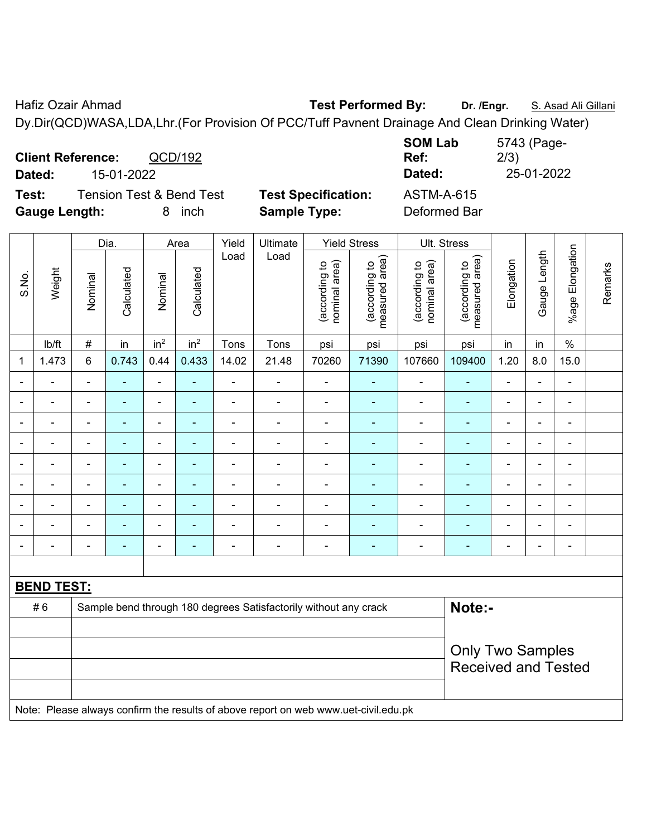Hafiz Ozair Ahmad **Test Performed By:** Dr. /Engr. **S. Asad Ali Gillani** Ali Gillani Dy.Dir(QCD)WASA,LDA,Lhr.(For Provision Of PCC/Tuff Pavnent Drainage And Clean Drinking Water)

**Client Reference:** QCD/192 **SOM Lab Ref:**  5743 (Page-2/3) **Dated:** 15-01-2022 **Dated:** 25-01-2022 **Test:** Tension Test & Bend Test **Test Specification:** ASTM-A-615 **Gauge Length:** 8 inch **Sample Type:** Deformed Bar

|                   | Weight                                                                              | Dia.                     |            | Area                         |                 | Yield          | Ultimate                     | <b>Yield Stress</b>            |                                 | Ult. Stress                    |                                 |                |                |                          |         |  |
|-------------------|-------------------------------------------------------------------------------------|--------------------------|------------|------------------------------|-----------------|----------------|------------------------------|--------------------------------|---------------------------------|--------------------------------|---------------------------------|----------------|----------------|--------------------------|---------|--|
| S.No.             |                                                                                     | Nominal                  | Calculated | Nominal                      | Calculated      | Load           | Load                         | nominal area)<br>(according to | (according to<br>measured area) | nominal area)<br>(according to | (according to<br>measured area) | Elongation     | Gauge Length   | Elongation<br>$%$ age I  | Remarks |  |
|                   | Ib/ft                                                                               | $\#$                     | in         | in <sup>2</sup>              | in <sup>2</sup> | Tons           | Tons                         | psi                            | psi                             | psi                            | psi                             | in             | in             | $\%$                     |         |  |
| 1                 | 1.473                                                                               | 6                        | 0.743      | 0.44                         | 0.433           | 14.02          | 21.48                        | 70260                          | 71390                           | 107660                         | 109400                          | 1.20           | 8.0            | 15.0                     |         |  |
|                   |                                                                                     | $\blacksquare$           | ۰          | $\blacksquare$               | $\blacksquare$  | $\blacksquare$ | $\blacksquare$               | $\overline{a}$                 | ۰                               | $\blacksquare$                 | ۰                               | $\blacksquare$ | $\blacksquare$ | $\blacksquare$           |         |  |
|                   |                                                                                     | $\overline{\phantom{a}}$ | ۰          | $\blacksquare$               | ٠               | $\blacksquare$ | $\blacksquare$               | $\overline{a}$                 | $\blacksquare$                  | $\blacksquare$                 |                                 | $\blacksquare$ | $\blacksquare$ | $\blacksquare$           |         |  |
| $\blacksquare$    |                                                                                     | Ē,                       | ٠          | $\qquad \qquad \blacksquare$ | ٠               | $\blacksquare$ | $\qquad \qquad \blacksquare$ | $\overline{a}$                 | $\blacksquare$                  | $\blacksquare$                 | ۰                               | $\blacksquare$ | $\blacksquare$ | $\blacksquare$           |         |  |
| $\blacksquare$    |                                                                                     | $\blacksquare$           | ۰          | $\overline{\phantom{a}}$     | $\blacksquare$  | ۰              | $\blacksquare$               | $\overline{\phantom{a}}$       | $\overline{\phantom{0}}$        | $\blacksquare$                 | ۰                               | $\blacksquare$ | $\blacksquare$ | $\blacksquare$           |         |  |
|                   |                                                                                     | $\blacksquare$           | ۰          | $\overline{\phantom{a}}$     | $\blacksquare$  | $\blacksquare$ | ÷                            | $\overline{a}$                 | $\overline{\phantom{0}}$        | $\blacksquare$                 | ۰                               | ÷              | $\overline{a}$ | $\overline{\phantom{a}}$ |         |  |
|                   | $\blacksquare$                                                                      | $\overline{\phantom{a}}$ | ä,         | $\blacksquare$               | $\blacksquare$  | $\blacksquare$ | $\blacksquare$               | ÷                              | ٠                               | ä,                             | ۰                               | $\blacksquare$ | $\blacksquare$ | $\blacksquare$           |         |  |
|                   |                                                                                     | $\blacksquare$           | ۰          | ۰                            | $\blacksquare$  | $\blacksquare$ | ÷                            | $\overline{a}$                 | $\blacksquare$                  | ÷                              |                                 | ÷              | $\blacksquare$ | $\blacksquare$           |         |  |
|                   |                                                                                     |                          | ۰          | ۰                            |                 |                |                              |                                |                                 | $\sim$                         | ۰                               |                | $\blacksquare$ | $\blacksquare$           |         |  |
|                   |                                                                                     | ٠                        | ۰          | $\blacksquare$               | $\blacksquare$  |                | ÷                            | $\overline{a}$                 |                                 | Ē,                             |                                 | Ē,             | $\blacksquare$ | Ē,                       |         |  |
|                   |                                                                                     |                          |            |                              |                 |                |                              |                                |                                 |                                |                                 |                |                |                          |         |  |
| <b>BEND TEST:</b> |                                                                                     |                          |            |                              |                 |                |                              |                                |                                 |                                |                                 |                |                |                          |         |  |
|                   | #6<br>Sample bend through 180 degrees Satisfactorily without any crack              |                          |            |                              |                 |                |                              |                                |                                 |                                | Note:-                          |                |                |                          |         |  |
|                   |                                                                                     |                          |            |                              |                 |                |                              |                                |                                 |                                |                                 |                |                |                          |         |  |
|                   |                                                                                     |                          |            |                              |                 |                |                              |                                |                                 |                                | <b>Only Two Samples</b>         |                |                |                          |         |  |
|                   |                                                                                     |                          |            |                              |                 |                |                              |                                |                                 |                                | <b>Received and Tested</b>      |                |                |                          |         |  |
|                   |                                                                                     |                          |            |                              |                 |                |                              |                                |                                 |                                |                                 |                |                |                          |         |  |
|                   | Note: Please always confirm the results of above report on web www.uet-civil.edu.pk |                          |            |                              |                 |                |                              |                                |                                 |                                |                                 |                |                |                          |         |  |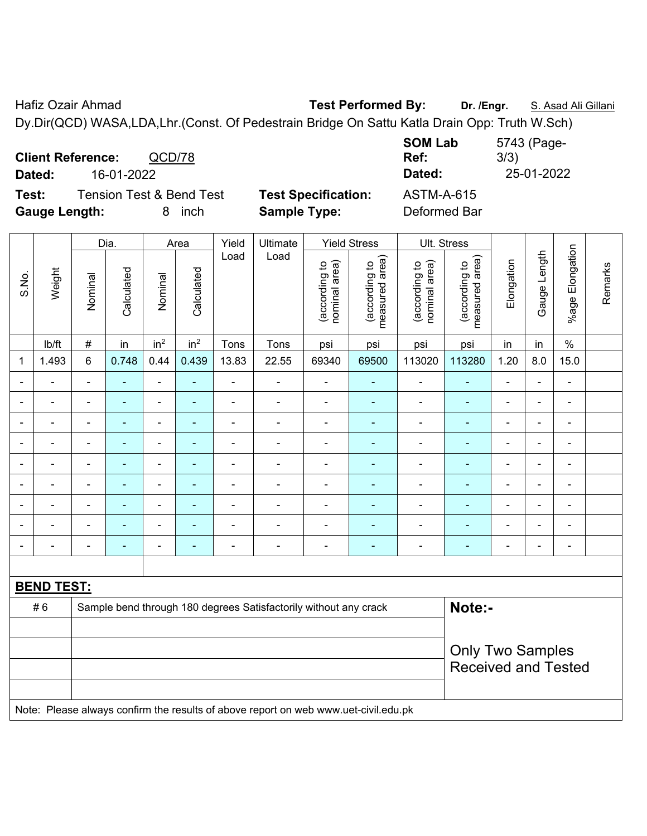Hafiz Ozair Ahmad **Test Performed By:** Dr. /Engr. **S. Asad Ali Gillani** Dy.Dir(QCD) WASA,LDA,Lhr.(Const. Of Pedestrain Bridge On Sattu Katla Drain Opp: Truth W.Sch)

**Client Reference:** QCD/78 **SOM Lab Ref:**  5743 (Page-3/3) **Dated:** 16-01-2022 **Dated:** 25-01-2022 **Test:** Tension Test & Bend Test **Test Specification:** ASTM-A-615 **Gauge Length:** 8 inch **Sample Type:** Deformed Bar

| S.No.                    | Weight                                                                              | Dia.           |                | Area                     |                          | Yield          | Ultimate                                                         | <b>Yield Stress</b>            |                                 | Ult. Stress                    |                                 |                            |                              |                         |         |  |
|--------------------------|-------------------------------------------------------------------------------------|----------------|----------------|--------------------------|--------------------------|----------------|------------------------------------------------------------------|--------------------------------|---------------------------------|--------------------------------|---------------------------------|----------------------------|------------------------------|-------------------------|---------|--|
|                          |                                                                                     | Nominal        | Calculated     | Nominal                  | Calculated               | Load           | Load                                                             | nominal area)<br>(according to | (according to<br>measured area) | nominal area)<br>(according to | measured area)<br>(according to | Elongation                 | Gauge Length                 | Elongation<br>$%$ age I | Remarks |  |
|                          | lb/ft                                                                               | $\#$           | in             | in <sup>2</sup>          | in <sup>2</sup>          | Tons           | Tons                                                             | psi                            | psi                             | psi                            | psi                             | in                         | in                           | $\%$                    |         |  |
| 1                        | 1.493                                                                               | $\,6$          | 0.748          | 0.44                     | 0.439                    | 13.83          | 22.55                                                            | 69340                          | 69500                           | 113020                         | 113280                          | 1.20                       | 8.0                          | 15.0                    |         |  |
|                          |                                                                                     | $\blacksquare$ | $\blacksquare$ | $\blacksquare$           | $\blacksquare$           | $\blacksquare$ | $\blacksquare$                                                   | $\blacksquare$                 | $\blacksquare$                  | $\blacksquare$                 | $\blacksquare$                  | $\blacksquare$             | ä,                           | $\blacksquare$          |         |  |
| $\overline{\phantom{0}}$ | $\blacksquare$                                                                      |                | $\blacksquare$ | $\blacksquare$           | $\blacksquare$           | $\blacksquare$ | $\blacksquare$                                                   | $\blacksquare$                 | $\blacksquare$                  | $\blacksquare$                 | $\blacksquare$                  | $\overline{\phantom{a}}$   | ÷,                           | $\blacksquare$          |         |  |
| $\overline{\phantom{0}}$ | $\blacksquare$                                                                      | $\blacksquare$ | ÷,             | $\blacksquare$           | $\blacksquare$           | $\blacksquare$ | $\blacksquare$                                                   | $\blacksquare$                 | $\blacksquare$                  | $\overline{\phantom{a}}$       | ÷                               | $\overline{\phantom{a}}$   | ÷,                           | $\blacksquare$          |         |  |
| $\blacksquare$           | ÷,                                                                                  | $\blacksquare$ | $\blacksquare$ | $\blacksquare$           | $\blacksquare$           | $\blacksquare$ | $\blacksquare$                                                   | $\blacksquare$                 | $\blacksquare$                  | $\blacksquare$                 | $\blacksquare$                  | $\overline{a}$             | $\qquad \qquad \blacksquare$ | $\blacksquare$          |         |  |
|                          | $\blacksquare$                                                                      | $\blacksquare$ | $\blacksquare$ | $\blacksquare$           | $\blacksquare$           | $\blacksquare$ | $\blacksquare$                                                   | $\blacksquare$                 | $\blacksquare$                  | $\blacksquare$                 | $\blacksquare$                  | $\blacksquare$             | $\blacksquare$               | $\blacksquare$          |         |  |
|                          | ÷                                                                                   |                | $\blacksquare$ | $\blacksquare$           | $\overline{\phantom{a}}$ | $\blacksquare$ | $\blacksquare$                                                   | $\blacksquare$                 | $\blacksquare$                  | $\blacksquare$                 | $\blacksquare$                  | ÷                          | $\blacksquare$               | $\blacksquare$          |         |  |
|                          |                                                                                     |                | $\blacksquare$ | $\blacksquare$           | ٠                        |                |                                                                  | $\overline{\phantom{0}}$       |                                 | $\blacksquare$                 |                                 |                            | ٠                            | ä,                      |         |  |
|                          |                                                                                     |                |                | $\blacksquare$           |                          |                |                                                                  | ÷,                             |                                 | $\blacksquare$                 |                                 |                            | $\blacksquare$               | L,                      |         |  |
| $\overline{\phantom{0}}$ | Ē.                                                                                  | $\blacksquare$ | $\blacksquare$ | $\overline{\phantom{0}}$ | $\overline{\phantom{a}}$ | $\blacksquare$ | $\overline{\phantom{a}}$                                         | $\blacksquare$                 | $\blacksquare$                  | $\overline{a}$                 | $\overline{\phantom{0}}$        | ۰                          | ۰                            | $\blacksquare$          |         |  |
|                          |                                                                                     |                |                |                          |                          |                |                                                                  |                                |                                 |                                |                                 |                            |                              |                         |         |  |
|                          | <b>BEND TEST:</b>                                                                   |                |                |                          |                          |                |                                                                  |                                |                                 |                                |                                 |                            |                              |                         |         |  |
|                          | #6                                                                                  |                |                |                          |                          |                | Sample bend through 180 degrees Satisfactorily without any crack |                                |                                 |                                | Note:-                          |                            |                              |                         |         |  |
|                          |                                                                                     |                |                |                          |                          |                |                                                                  |                                |                                 |                                |                                 |                            |                              |                         |         |  |
|                          |                                                                                     |                |                |                          |                          |                |                                                                  |                                |                                 |                                | <b>Only Two Samples</b>         |                            |                              |                         |         |  |
|                          |                                                                                     |                |                |                          |                          |                |                                                                  |                                |                                 |                                |                                 | <b>Received and Tested</b> |                              |                         |         |  |
|                          |                                                                                     |                |                |                          |                          |                |                                                                  |                                |                                 |                                |                                 |                            |                              |                         |         |  |
|                          | Note: Please always confirm the results of above report on web www.uet-civil.edu.pk |                |                |                          |                          |                |                                                                  |                                |                                 |                                |                                 |                            |                              |                         |         |  |